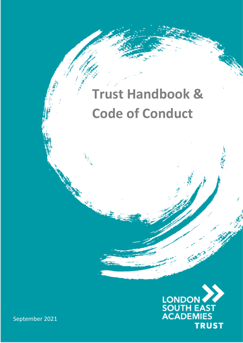# **Trust Handbook & Code of Conduct**



September 2021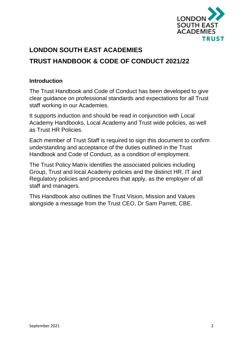

# **LONDON SOUTH EAST ACADEMIES TRUST HANDBOOK & CODE OF CONDUCT 2021/22**

## **Introduction**

The Trust Handbook and Code of Conduct has been developed to give clear guidance on professional standards and expectations for all Trust staff working in our Academies.

It supports induction and should be read in conjunction with Local Academy Handbooks, Local Academy and Trust wide policies, as well as Trust HR Policies.

Each member of Trust Staff is required to sign this document to confirm understanding and acceptance of the duties outlined in the Trust Handbook and Code of Conduct, as a condition of employment.

The Trust Policy Matrix identifies the associated policies including Group, Trust and local Academy policies and the distinct HR, IT and Regulatory policies and procedures that apply, as the employer of all staff and managers.

This Handbook also outlines the Trust Vision, Mission and Values alongside a message from the Trust CEO, Dr Sam Parrett, CBE.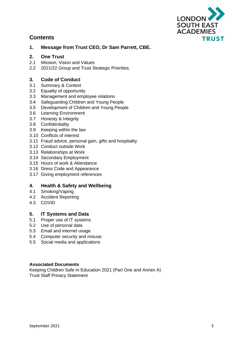

## **Contents**

#### **1. Message from Trust CEO, Dr Sam Parrett, CBE.**

#### **2. One Trust**

- 2.1 Mission, Vision and Values
- 2.2 2021/22 Group and Trust Strategic Priorities.

#### **3. Code of Conduct**

- 3.1 Summary & Context
- 3.2 Equality of opportunity
- 3.3 Management and employee relations
- 3.4 Safeguarding Children and Young People
- 3.5 Development of Children and Young People
- 3.6 Learning Environment
- 3.7 Honesty & Integrity
- 3.8 Confidentiality
- 3.9 Keeping within the law
- 3.10 Conflicts of interest
- 3.11 Fraud advice, personal gain, gifts and hospitality
- 3.12 Conduct outside Work
- 3.13 Relationships at Work
- 3.14 Secondary Employment
- 3.15 Hours of work & Attendance
- 3.16 Dress Code and Appearance
- 3.17 Giving employment references

#### **4. Health & Safety and Wellbeing**

- 4.1 Smoking/Vaping
- 4.2 Accident Reporting
- 4.3 COVID

#### **5. IT Systems and Data**

- 5.1 Proper use of IT systems
- 5.2 Use of personal data
- 5.3 Email and internet usage
- 5.4 Computer security and misuse
- 5.5 Social media and applications

#### **Associated Documents**

Keeping Children Safe In Education 2021 (Part One and Annex A) Trust Staff Privacy Statement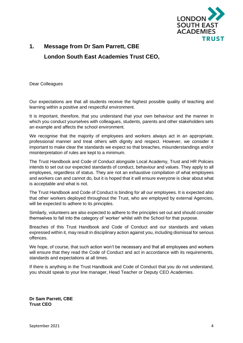

## **1. Message from Dr Sam Parrett, CBE London South East Academies Trust CEO,**

Dear Colleagues

Our expectations are that all students receive the highest possible quality of teaching and learning within a positive and respectful environment.

It is important, therefore, that you understand that your own behaviour and the manner in which you conduct yourselves with colleagues, students, parents and other stakeholders sets an example and affects the school environment.

We recognise that the majority of employees and workers always act in an appropriate, professional manner and treat others with dignity and respect. However, we consider it important to make clear the standards we expect so that breaches, misunderstandings and/or misinterpretation of rules are kept to a minimum.

The Trust Handbook and Code of Conduct alongside Local Academy, Trust and HR Policies intends to set out our expected standards of conduct, behaviour and values. They apply to all employees, regardless of status. They are not an exhaustive compilation of what employees and workers can and cannot do, but it is hoped that it will ensure everyone is clear about what is acceptable and what is not.

The Trust Handbook and Code of Conduct is binding for all our employees. It is expected also that other workers deployed throughout the Trust, who are employed by external Agencies, will be expected to adhere to its principles.

Similarly, volunteers are also expected to adhere to the principles set out and should consider themselves to fall into the category of 'worker' whilst with the School for that purpose.

Breaches of this Trust Handbook and Code of Conduct and our standards and values expressed within it, may result in disciplinary action against you, including dismissal for serious offences.

We hope, of course, that such action won't be necessary and that all employees and workers will ensure that they read the Code of Conduct and act in accordance with its requirements, standards and expectations at all times.

If there is anything in the Trust Handbook and Code of Conduct that you do not understand, you should speak to your line manager, Head Teacher or Deputy CEO Academies.

**Dr Sam Parrett, CBE Trust CEO**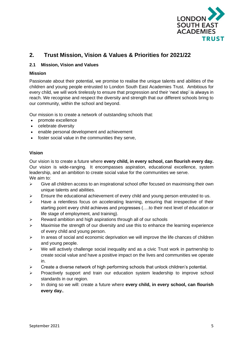

## **2. Trust Mission, Vision & Values & Priorities for 2021/22**

#### **2.1 Mission, Vision and Values**

#### **Mission**

Passionate about their potential, we promise to realise the unique talents and abilities of the children and young people entrusted to London South East Academies Trust. Ambitious for every child, we will work tirelessly to ensure that progression and their 'next step' is always in reach. We recognise and respect the diversity and strength that our different schools bring to our community, within the school and beyond.

Our mission is to create a network of outstanding schools that:

- promote excellence
- celebrate diversity
- enable personal development and achievement
- foster social value in the communities they serve,

#### **Vision**

Our vision is to create a future where **every child, in every school, can flourish every day.** Our vision is wide-ranging. It encompasses aspiration, educational excellence, system leadership, and an ambition to create social value for the communities we serve. We aim to:

- ➢ Give all children access to an inspirational school offer focused on maximising their own unique talents and abilities.
- ➢ Ensure the educational achievement of every child and young person entrusted to us.
- ➢ Have a relentless focus on accelerating learning, ensuring that irrespective of their starting point every child achieves and progresses (….to their next level of education or life stage of employment, and training).
- ➢ Reward ambition and high aspirations through all of our schools
- $\triangleright$  Maximise the strength of our diversity and use this to enhance the learning experience of every child and young person.
- ➢ In areas of social and economic deprivation we will improve the life chances of children and young people.
- ➢ We will actively challenge social inequality and as a civic Trust work in partnership to create social value and have a positive impact on the lives and communities we operate in.
- ➢ Create a diverse network of high performing schools that unlock children's potential.
- ➢ Proactively support and train our education system leadership to improve school standards in our region.
- ➢ In doing so we will: create a future where **every child, in every school, can flourish every day.**.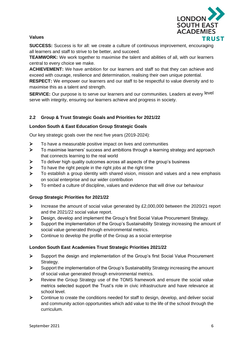

#### **Values**

**SUCCESS:** Success is for all: we create a culture of continuous improvement, encouraging all learners and staff to strive to be better, and succeed.

**TEAMWORK:** We work together to maximise the talent and abilities of all, with our learners central to every choice we make.

**ACHIEVEMENT:** We have ambition for our learners and staff so that they can achieve and exceed with courage, resilience and determination, realising their own unique potential.

**RESPECT:** We empower our learners and our staff to be respectful to value diversity and to maximise this as a talent and strength.

**SERVICE:** Our purpose is to serve our learners and our communities. Leaders at every level serve with integrity, ensuring our learners achieve and progress in society.

#### **2.2 Group & Trust Strategic Goals and Priorities for 2021/22**

#### **London South & East Education Group Strategic Goals**

Our key strategic goals over the next five years (2019-2024):

- $\triangleright$  To have a measurable positive impact on lives and communities
- ➢ To maximise learners' success and ambitions through a learning strategy and approach that connects learning to the real world
- ➢ To deliver high quality outcomes across all aspects of the group's business
- $\triangleright$  To have the right people in the right jobs at the right time
- ➢ To establish a group identity with shared vision, mission and values and a new emphasis on social enterprise and our wider contribution
- $\triangleright$  To embed a culture of discipline, values and evidence that will drive our behaviour

#### **Group Strategic Priorities for 2021/22**

- ➢ Increase the amount of social value generated by £2,000,000 between the 2020/21 report and the 2021/22 social value report.
- ➢ Design, develop and implement the Group's first Social Value Procurement Strategy.
- ➢ Support the implementation of the Group's Sustainability Strategy increasing the amount of social value generated through environmental metrics.
- ➢ Continue to develop the profile of the Group as a social enterprise

#### **London South East Academies Trust Strategic Priorities 2021/22**

- ➢ Support the design and implementation of the Group's first Social Value Procurement Strategy.
- ➢ Support the implementation of the Group's Sustainability Strategy increasing the amount of social value generated through environmental metrics.
- ➢ Review the Group Strategy use of the TOMS framework and ensure the social value metrics selected support the Trust's role in civic infrastructure and have relevance at school level.
- $\triangleright$  Continue to create the conditions needed for staff to design, develop, and deliver social and community action opportunities which add value to the life of the school through the curriculum.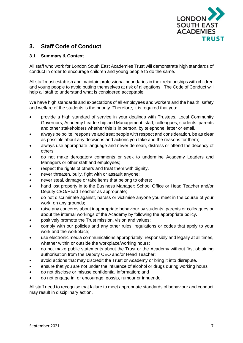

## **3. Staff Code of Conduct**

#### **3.1 Summary & Context**

All staff who work for London South East Academies Trust will demonstrate high standards of conduct in order to encourage children and young people to do the same.

All staff must establish and maintain professional boundaries in their relationships with children and young people to avoid putting themselves at risk of allegations. The Code of Conduct will help all staff to understand what is considered acceptable.

We have high standards and expectations of all employees and workers and the health, safety and welfare of the students is the priority. Therefore, it is required that you:

- provide a high standard of service in your dealings with Trustees, Local Community Governors, Academy Leadership and Management, staff, colleagues, students, parents and other stakeholders whether this is in person, by telephone, letter or email.
- always be polite, responsive and treat people with respect and consideration, be as clear as possible about any decisions and actions you take and the reasons for them;
- always use appropriate language and never demean, distress or offend the decency of others.
- do not make derogatory comments or seek to undermine Academy Leaders and Managers or other staff and employees;
- respect the rights of others and treat them with dignity.
- never threaten, bully, fight with or assault anyone;
- never steal, damage or take items that belong to others;
- hand lost property in to the Business Manager; School Office or Head Teacher and/or Deputy CEO/Head Teacher as appropriate;
- do not discriminate against, harass or victimise anyone you meet in the course of your work, on any grounds;
- raise any concerns about inappropriate behaviour by students, parents or colleagues or about the internal workings of the Academy by following the appropriate policy.
- positively promote the Trust mission, vision and values;
- comply with our policies and any other rules, regulations or codes that apply to your work and the workplace;
- use electronic media communications appropriately, responsibly and legally at all times, whether within or outside the workplace/working hours;
- do not make public statements about the Trust or the Academy without first obtaining authorisation from the Deputy CEO and/or Head Teacher;
- avoid actions that may discredit the Trust or Academy or bring it into disrepute.
- ensure that you are not under the influence of alcohol or drugs during working hours
- do not disclose or misuse confidential information; and
- do not engage in, or encourage, gossip, rumour or innuendo.

All staff need to recognise that failure to meet appropriate standards of behaviour and conduct may result in disciplinary action.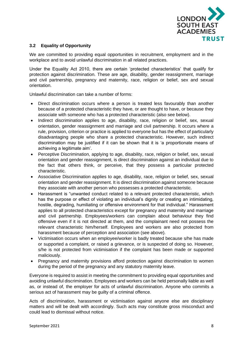

#### **3.2 Equality of Opportunity**

We are committed to providing equal opportunities in recruitment, employment and in the workplace and to avoid unlawful discrimination in all related practices.

Under the Equality Act 2010, there are certain 'protected characteristics' that qualify for protection against discrimination. These are age, disability, gender reassignment, marriage and civil partnership, pregnancy and maternity, race, religion or belief, sex and sexual orientation.

Unlawful discrimination can take a number of forms:

- Direct discrimination occurs where a person is treated less favourably than another because of a protected characteristic they have, or are thought to have, or because they associate with someone who has a protected characteristic (also see below).
- Indirect discrimination applies to age, disability, race, religion or belief, sex, sexual orientation, gender reassignment and marriage and civil partnership. It occurs where a rule, provision, criterion or practice is applied to everyone but has the effect of particularly disadvantaging people who share a protected characteristic. However, such indirect discrimination may be justified if it can be shown that it is 'a proportionate means of achieving a legitimate aim'.
- Perceptive Discrimination, applying to age, disability, race, religion or belief, sex, sexual orientation and gender reassignment, is direct discrimination against an individual due to the fact that others think, or perceive, that they possess a particular protected characteristic.
- Associative Discrimination applies to age, disability, race, religion or belief, sex, sexual orientation and gender reassignment. It is direct discrimination against someone because they associate with another person who possesses a protected characteristic.
- Harassment is "unwanted conduct related to a relevant protected characteristic, which has the purpose or effect of violating an individual's dignity or creating an intimidating, hostile, degrading, humiliating or offensive environment for that individual." Harassment applies to all protected characteristics except for pregnancy and maternity and marriage and civil partnership. Employees/workers can complain about behaviour they find offensive even if it is not directed at them, and the complainant need not possess the relevant characteristic him/herself. Employees and workers are also protected from harassment because of perception and association (see above).
- Victimisation occurs when an employee/worker is badly treated because s/he has made or supported a complaint, or raised a grievance, or is suspected of doing so. However, s/he is not protected from victimisation if the complaint has been made or supported maliciously.
- Pregnancy and maternity provisions afford protection against discrimination to women during the period of the pregnancy and any statutory maternity leave.

Everyone is required to assist in meeting the commitment to providing equal opportunities and avoiding unlawful discrimination. Employees and workers can be held personally liable as well as, or instead of, the employer for acts of unlawful discrimination. Anyone who commits a serious act of harassment may be guilty of a criminal offence.

Acts of discrimination, harassment or victimisation against anyone else are disciplinary matters and will be dealt with accordingly. Such acts may constitute gross misconduct and could lead to dismissal without notice.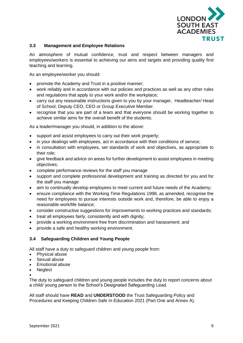

#### **3.3 Management and Employee Relations**

An atmosphere of mutual confidence, trust and respect between managers and employees/workers is essential to achieving our aims and targets and providing quality first teaching and learning.

As an employee/worker you should:

- promote the Academy and Trust in a positive manner;
- work reliably and in accordance with our policies and practices as well as any other rules and regulations that apply to your work and/or the workplace;
- carry out any reasonable instructions given to you by your manager, Headteacher/ Head of School, Deputy CEO, CEO or Group Executive Member.
- recognise that you are part of a team and that everyone should be working together to achieve similar aims for the overall benefit of the students.

As a leader/manager you should, in addition to the above:

- support and assist employees to carry out their work properly;
- in your dealings with employees, act in accordance with their conditions of service;
- in consultation with employees, set standards of work and objectives, as appropriate to their role;
- give feedback and advice on areas for further development to assist employees in meeting objectives;
- complete performance reviews for the staff you manage
- support and complete professional development and training as directed for you and for the staff you manage
- aim to continually develop employees to meet current and future needs of the Academy;
- ensure compliance with the Working Time Regulations 1998, as amended, recognise the need for employees to pursue interests outside work and, therefore, be able to enjoy a reasonable work/life balance;
- consider constructive suggestions for improvements to working practices and standards;
- treat all employees fairly, consistently and with dignity;
- provide a working environment free from discrimination and harassment; and
- provide a safe and healthy working environment.

#### **3.4 Safeguarding Children and Young People**

All staff have a duty to safeguard children and young people from:

- Physical abuse
- Sexual abuse
- Emotional abuse
- Neglect
- •

The duty to safeguard children and young people includes the duty to report concerns about a child/ young person to the School's Designated Safeguarding Lead.

All staff should have **READ** and **UNDERSTOOD** the Trust Safeguarding Policy and Procedures and Keeping Children Safe In Education 2021 (Part One and Annex A).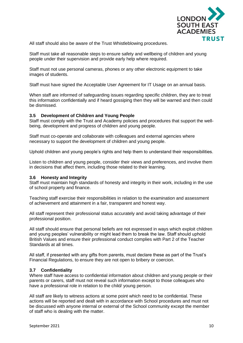

All staff should also be aware of the Trust Whistleblowing procedures.

Staff must take all reasonable steps to ensure safety and wellbeing of children and young people under their supervision and provide early help where required.

Staff must not use personal cameras, phones or any other electronic equipment to take images of students.

Staff must have signed the Acceptable User Agreement for IT Usage on an annual basis.

When staff are informed of safeguarding issues regarding specific children, they are to treat this information confidentially and if heard gossiping then they will be warned and then could be dismissed.

#### **3.5 Development of Children and Young People**

Staff must comply with the Trust and Academy policies and procedures that support the wellbeing, development and progress of children and young people.

Staff must co-operate and collaborate with colleagues and external agencies where necessary to support the development of children and young people.

Uphold children and young people's rights and help them to understand their responsibilities.

Listen to children and young people, consider their views and preferences, and involve them in decisions that affect them, including those related to their learning.

#### **3.6 Honesty and Integrity**

Staff must maintain high standards of honesty and integrity in their work, including in the use of school property and finance.

Teaching staff exercise their responsibilities in relation to the examination and assessment of achievement and attainment in a fair, transparent and honest way.

All staff represent their professional status accurately and avoid taking advantage of their professional position.

All staff should ensure that personal beliefs are not expressed in ways which exploit children and young peoples' vulnerability or might lead them to break the law. Staff should uphold British Values and ensure their professional conduct complies with Part 2 of the Teacher Standards at all times.

All staff, if presented with any gifts from parents, must declare these as part of the Trust's Financial Regulations, to ensure they are not open to bribery or coercion.

#### **3.7 Confidentiality**

Where staff have access to confidential information about children and young people or their parents or carers, staff must not reveal such information except to those colleagues who have a professional role in relation to the child/ young person.

All staff are likely to witness actions at some point which need to be confidential. These actions will be reported and dealt with in accordance with School procedures and must not be discussed with anyone internal or external of the School community except the member of staff who is dealing with the matter.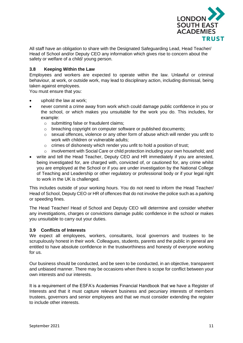

All staff have an obligation to share with the Designated Safeguarding Lead, Head Teacher/ Head of School and/or Deputy CEO any information which gives rise to concern about the safety or welfare of a child/ young person.

#### **3.8 Keeping Within the Law**

Employees and workers are expected to operate within the law. Unlawful or criminal behaviour, at work, or outside work, may lead to disciplinary action, including dismissal, being taken against employees.

You must ensure that you:

- uphold the law at work;
- never commit a crime away from work which could damage public confidence in you or the school, or which makes you unsuitable for the work you do. This includes, for example:
	- o submitting false or fraudulent claims;
	- o breaching copyright on computer software or published documents;
	- $\circ$  sexual offences, violence or any other form of abuse which will render you unfit to work with children or vulnerable adults;
	- o crimes of dishonesty which render you unfit to hold a position of trust;
	- o involvement with Social Care or child protection including your own household; and
- write and tell the Head Teacher, Deputy CEO and HR immediately if you are arrested, being investigated for, are charged with, convicted of, or cautioned for, any crime whilst you are employed at the School or if you are under investigation by the National College of Teaching and Leadership or other regulatory or professional body or if your legal right to work in the UK is challenged.

This includes outside of your working hours. You do not need to inform the Head Teacher/ Head of School, Deputy CEO or HR of offences that do not involve the police such as a parking or speeding fines.

The Head Teacher/ Head of School and Deputy CEO will determine and consider whether any investigations, charges or convictions damage public confidence in the school or makes you unsuitable to carry out your duties.

#### **3.9 Conflicts of Interests**

We expect all employees, workers, consultants, local governors and trustees to be scrupulously honest in their work. Colleagues, students, parents and the public in general are entitled to have absolute confidence in the trustworthiness and honesty of everyone working for us.

Our business should be conducted, and be seen to be conducted, in an objective, transparent and unbiased manner. There may be occasions when there is scope for conflict between your own interests and our interests.

It is a requirement of the ESFA's Academies Financial Handbook that we have a Register of Interests and that it must capture relevant business and pecuniary interests of members trustees, governors and senior employees and that we must consider extending the register to include other interests.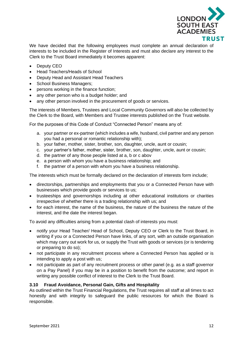

We have decided that the following employees must complete an annual declaration of interests to be included in the Register of Interests and must also declare any interest to the Clerk to the Trust Board immediately it becomes apparent:

- Deputy CEO
- Head Teachers/Heads of School
- Deputy Head and Assistant Head Teachers
- School Business Managers;
- persons working in the finance function;
- any other person who is a budget holder; and
- any other person involved in the procurement of goods or services.

The interests of Members, Trustees and Local Community Governors will also be collected by the Clerk to the Board, with Members and Trustee interests published on the Trust website.

For the purposes of this Code of Conduct "Connected Person" means any of:

- a. your partner or ex-partner (which includes a wife, husband, civil partner and any person you had a personal or romantic relationship with);
- b. your father, mother, sister, brother, son, daughter, uncle, aunt or cousin;
- c. your partner's father, mother, sister, brother, son, daughter, uncle, aunt or cousin;
- d. the partner of any those people listed at a, b or c abov
- e. a person with whom you have a business relationship; and
- f. the partner of a person with whom you have a business relationship.

The interests which must be formally declared on the declaration of interests form include;

- directorships, partnerships and employments that you or a Connected Person have with businesses which provide goods or services to us;
- trusteeships and governorships including at other educational institutions or charities irrespective of whether there is a trading relationship with us; and
- for each interest, the name of the business, the nature of the business the nature of the interest, and the date the interest began.

To avoid any difficulties arising from a potential clash of interests you must:

- notify your Head Teacher/ Head of School, Deputy CEO or Clerk to the Trust Board, in writing if you or a Connected Person have links, of any sort, with an outside organisation which may carry out work for us, or supply the Trust with goods or services (or is tendering or preparing to do so);
- not participate in any recruitment process where a Connected Person has applied or is intending to apply a post with us;
- not participate as part of any recruitment process or other panel (e.g. as a staff governor on a Pay Panel) if you may be in a position to benefit from the outcome; and report in writing any possible conflict of interest to the Clerk to the Trust Board.

#### **3.10 Fraud Avoidance, Personal Gain, Gifts and Hospitality**

As outlined within the Trust Financial Regulations, the Trust requires all staff at all times to act honestly and with integrity to safeguard the public resources for which the Board is responsible.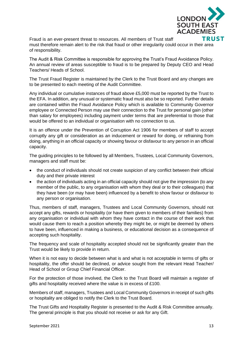

Fraud is an ever-present threat to resources. All members of Trust staff must therefore remain alert to the risk that fraud or other irregularity could occur in their area of responsibility.

The Audit & Risk Committee is responsible for approving the Trust's Fraud Avoidance Policy. An annual review of areas susceptible to fraud is to be prepared by Deputy CEO and Head Teachers/ Heads of School.

The Trust Fraud Register is maintained by the Clerk to the Trust Board and any changes are to be presented to each meeting of the Audit Committee.

Any individual or cumulative instances of fraud above £5,000 must be reported by the Trust to the EFA. In addition, any unusual or systematic fraud must also be so reported. Further details are contained within the Fraud Avoidance Policy which is available to Community Governor employee or Connected Person may use their connection to the Trust for personal gain (other than salary for employees) including payment under terms that are preferential to those that would be offered to an individual or organisation with no connection to us.

It is an offence under the Prevention of Corruption Act 1906 for members of staff to accept corruptly any gift or consideration as an inducement or reward for doing, or refraining from doing, anything in an official capacity or showing favour or disfavour to any person in an official capacity.

The guiding principles to be followed by all Members, Trustees, Local Community Governors, managers and staff must be:

- the conduct of individuals should not create suspicion of any conflict between their official duty and their private interest
- the action of individuals acting in an official capacity should not give the impression (to any member of the public, to any organisation with whom they deal or to their colleagues) that they have been (or may have been) influenced by a benefit to show favour or disfavour to any person or organisation.

Thus, members of staff, managers, Trustees and Local Community Governors, should not accept any gifts, rewards or hospitality (or have them given to members of their families) from any organisation or individual with whom they have contact in the course of their work that would cause them to reach a position whereby they might be, or might be deemed by others to have been, influenced in making a business, or educational decision as a consequence of accepting such hospitality.

The frequency and scale of hospitality accepted should not be significantly greater than the Trust would be likely to provide in return.

When it is not easy to decide between what is and what is not acceptable in terms of gifts or hospitality, the offer should be declined, or advice sought from the relevant Head Teacher/ Head of School or Group Chief Financial Officer.

For the protection of those involved, the Clerk to the Trust Board will maintain a register of gifts and hospitality received where the value is in excess of £100.

Members of staff, managers, Trustees and Local Community Governors in receipt of such gifts or hospitality are obliged to notify the Clerk to the Trust Board.

The Trust Gifts and Hospitality Register is presented to the Audit & Risk Committee annually. The general principle is that you should not receive or ask for any Gift.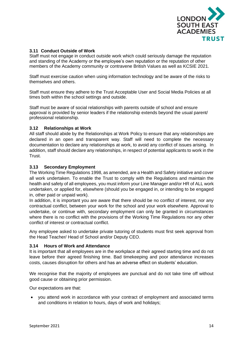

#### **3.11 Conduct Outside of Work**

Staff must not engage in conduct outside work which could seriously damage the reputation and standing of the Academy or the employee's own reputation or the reputation of other members of the Academy community or contravene British Values as well as KCSIE 2021.

Staff must exercise caution when using information technology and be aware of the risks to themselves and others.

Staff must ensure they adhere to the Trust Acceptable User and Social Media Policies at all times both within the school settings and outside.

Staff must be aware of social relationships with parents outside of school and ensure approval is provided by senior leaders if the relationship extends beyond the usual parent/ professional relationship.

#### **3.12 Relationships at Work**

All staff should abide by the Relationships at Work Policy to ensure that any relationships are declared in an open and transparent way. Staff will need to complete the necessary documentation to declare any relationships at work, to avoid any conflict of issues arising. In addition, staff should declare any relationships, in respect of potential applicants to work in the Trust.

#### **3.13 Secondary Employment**

The Working Time Regulations 1998, as amended, are a Health and Safety initiative and cover all work undertaken. To enable the Trust to comply with the Regulations and maintain the health and safety of all employees, you must inform your Line Manager and/or HR of ALL work undertaken, or applied for, elsewhere (should you be engaged in, or intending to be engaged in, other paid or unpaid work).

In addition, it is important you are aware that there should be no conflict of interest, nor any contractual conflict, between your work for the school and your work elsewhere. Approval to undertake, or continue with, secondary employment can only be granted in circumstances where there is no conflict with the provisions of the Working Time Regulations nor any other conflict of interest or contractual conflict.

Any employee asked to undertake private tutoring of students must first seek approval from the Head Teacher/ Head of School and/or Deputy CEO.

#### **3.14 Hours of Work and Attendance**

It is important that all employees are in the workplace at their agreed starting time and do not leave before their agreed finishing time. Bad timekeeping and poor attendance increases costs, causes disruption for others and has an adverse effect on students' education.

We recognise that the majority of employees are punctual and do not take time off without good cause or obtaining prior permission.

Our expectations are that:

• you attend work in accordance with your contract of employment and associated terms and conditions in relation to hours, days of work and holidays;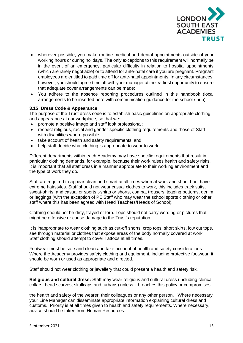

- wherever possible, you make routine medical and dental appointments outside of your working hours or during holidays. The only exceptions to this requirement will normally be in the event of an emergency, particular difficulty in relation to hospital appointments (which are rarely negotiable) or to attend for ante-natal care if you are pregnant. Pregnant employees are entitled to paid time off for ante-natal appointments. In any circumstances, however, you should agree time off with your manager at the earliest opportunity to ensure that adequate cover arrangements can be made;
- You adhere to the absence reporting procedures outlined in this handbook (local arrangements to be inserted here with communication guidance for the school / hub).

#### **3.15 Dress Code & Appearance**

The purpose of the Trust dress code is to establish basic guidelines on appropriate clothing and appearance at our workplace, so that we:

- promote a positive image and staff look professional;
- respect religious, racial and gender-specific clothing requirements and those of Staff with disabilities where possible;
- take account of health and safety requirements; and
- help staff decide what clothing is appropriate to wear to work.

Different departments within each Academy may have specific requirements that result in particular clothing demands, for example, because their work raises health and safety risks. It is important that all staff dress in a manner appropriate to their working environment and the type of work they do.

Staff are required to appear clean and smart at all times when at work and should not have extreme hairstyles. Staff should not wear casual clothes to work, this includes track suits, sweat-shirts, and casual or sports t-shirts or shorts, combat trousers, jogging bottoms, denim or leggings (with the exception of PE Staff who may wear the school sports clothing or other staff where this has been agreed with Head Teachers/Heads of School).

Clothing should not be dirty, frayed or torn. Tops should not carry wording or pictures that might be offensive or cause damage to the Trust's reputation.

It is inappropriate to wear clothing such as cut-off shorts, crop tops, short skirts, low cut tops, see through material or clothes that expose areas of the body normally covered at work. Staff clothing should attempt to cover Tattoos at all times.

Footwear must be safe and clean and take account of health and safety considerations. Where the Academy provides safety clothing and equipment, including protective footwear, it should be worn or used as appropriate and directed.

Staff should not wear clothing or jewellery that could present a health and safety risk.

**Religious and cultural dress:** Staff may wear religious and cultural dress (including clerical collars, head scarves, skullcaps and turbans) unless it breaches this policy or compromises

the health and safety of the wearer, their colleagues or any other person. Where necessary your Line Manager can disseminate appropriate information explaining cultural dress and customs. Priority is at all times given to health and safety requirements. Where necessary, advice should be taken from Human Resources.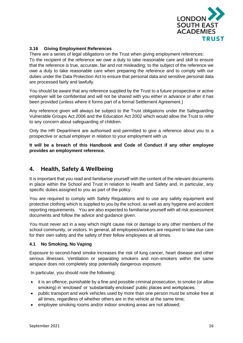

#### **3.16 Giving Employment References**

There are a series of legal obligations on the Trust when giving employment references: To the recipient of the reference we owe a duty to take reasonable care and skill to ensure that the reference is true, accurate, fair and not misleading; to the subject of the reference we owe a duty to take reasonable care when preparing the reference and to comply with our duties under the Data Protection Act to ensure that personal data and sensitive personal data are processed fairly and lawfully.

You should be aware that any reference supplied by the Trust to a future prospective or active employer will be confidential and will not be shared with you either in advance or after it has been provided (unless where it forms part of a formal Settlement Agreement.)

Any reference given will always be subject to the Trust obligations under the Safeguarding Vulnerable Groups Act 2006 and the Education Act 2002 which would allow the Trust to refer to any concern about safeguarding of children.

Only the HR Department are authorised and permitted to give a reference about you to a prospective or actual employer in relation to your employment with us

**It will be a breach of this Handbook and Code of Conduct if any other employee provides an employment reference.**

### **4. Health, Safety & Wellbeing**

It is important that you read and familiarise yourself with the content of the relevant documents in place within the School and Trust in relation to Health and Safety and, in particular, any specific duties assigned to you as part of the policy.

You are required to comply with Safety Regulations and to use any safety equipment and protective clothing which is supplied to you by the school, as well as any hygiene and accident reporting requirements. You are also expected to familiarise yourself with all risk assessment documents and follow the advice and guidance given.

You must never act in a way which might cause risk or damage to any other members of the school community, or visitors. In general, all employees/workers are required to take due care for their own safety and the safety of their fellow employees at all times.

#### **4.1 No Smoking, No Vaping**

Exposure to second-hand smoke increases the risk of lung cancer, heart disease and other serious illnesses. Ventilation or separating smokers and non-smokers within the same airspace does not completely stop potentially dangerous exposure.

In particular, you should note the following:

- it is an offence, punishable by a fine and possible criminal prosecution, to smoke (or allow smoking) in 'enclosed' or 'substantially enclosed' public places and workplaces;
- public transport and work vehicles used by more than one person must be smoke free at all times, regardless of whether others are in the vehicle at the same time;
- employee smoking rooms and/or indoor smoking areas are not allowed;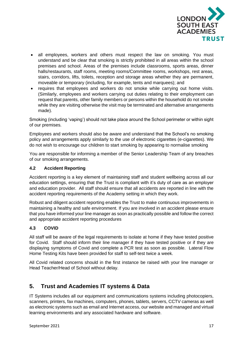

- all employees, workers and others must respect the law on smoking. You must understand and be clear that smoking is strictly prohibited in all areas within the school premises and school. Areas of the premises include classrooms, sports areas, dinner halls/restaurants, staff rooms, meeting rooms/Committee rooms, workshops, rest areas, stairs, corridors, lifts, toilets, reception and storage areas whether they are permanent, moveable or temporary (including, for example, tents and marquees); and
- requires that employees and workers do not smoke while carrying out home visits. (Similarly, employees and workers carrying out duties relating to their employment can request that parents, other family members or persons within the household do not smoke while they are visiting otherwise the visit may be terminated and alternative arrangements made).

Smoking (including 'vaping') should not take place around the School perimeter or within sight of our premises.

Employees and workers should also be aware and understand that the School's no smoking policy and arrangements apply similarly to the use of electronic cigarettes (e-cigarettes). We do not wish to encourage our children to start smoking by appearing to normalise smoking

You are responsible for informing a member of the Senior Leadership Team of any breaches of our smoking arrangements.

#### **4.2 Accident Reporting**

Accident reporting is a key element of maintaining staff and student wellbeing across all our education settings, ensuring that the Trust is compliant with it's duty of care as an employer and education provider. All staff should ensure that all accidents are reported in line with the accident reporting requirements of the Academy setting in which they work.

Robust and diligent accident reporting enables the Trust to make continuous improvements in maintaining a healthy and safe environment. If you are involved in an accident please ensure that you have informed your line manager as soon as practically possible and follow the correct and appropriate accident reporting procedures

#### **4.3 COVID**

All staff will be aware of the legal requirements to isolate at home if they have tested positive for Covid. Staff should inform their line manager if they have tested positive or if they are displaying symptoms of Covid and complete a PCR test as soon as possible. Lateral Flow Home Testing Kits have been provided for staff to self-test twice a week.

All Covid related concerns should in the first instance be raised with your line manager or Head Teacher/Head of School without delay.

## **5. Trust and Academies IT systems & Data**

IT Systems includes all our equipment and communications systems including photocopiers, scanners, printers, fax machines, computers, phones, tablets, servers, CCTV cameras as well as electronic systems such as email and Internet access, our website and managed and virtual learning environments and any associated hardware and software.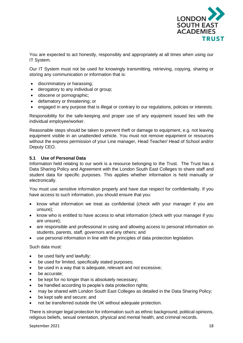

You are expected to act honestly, responsibly and appropriately at all times when using our IT System.

Our IT System must not be used for knowingly transmitting, retrieving, copying, sharing or storing any communication or information that is:

- discriminatory or harassing;
- derogatory to any individual or group;
- obscene or pornographic;
- defamatory or threatening; or
- engaged in any purpose that is illegal or contrary to our regulations, policies or interests.

Responsibility for the safe-keeping and proper use of any equipment issued lies with the individual employee/worker.

Reasonable steps should be taken to prevent theft or damage to equipment, e.g. not leaving equipment visible in an unattended vehicle. You must not remove equipment or resources without the express permission of your Line manager, Head Teacher/ Head of School and/or Deputy CEO.

#### **5.1 Use of Personal Data**

Information held relating to our work is a resource belonging to the Trust. The Trust has a Data Sharing Policy and Agreement with the London South East Colleges to share staff and student data for specific purposes. This applies whether information is held manually or electronically.

You must use sensitive information properly and have due respect for confidentiality. If you have access to such information, you should ensure that you:

- know what information we treat as confidential (check with your manager if you are unsure);
- know who is entitled to have access to what information (check with your manager if you are unsure);
- are responsible and professional in using and allowing access to personal information on students, parents, staff, governors and any others; and
- use personal information in line with the principles of data protection legislation.

Such data must:

- be used fairly and lawfully;
- be used for limited, specifically stated purposes;
- be used in a way that is adequate, relevant and not excessive;
- be accurate:
- be kept for no longer than is absolutely necessary;
- be handled according to people's data protection rights;
- may be shared with London South East Colleges as detailed in the Data Sharing Policy;
- be kept safe and secure; and
- not be transferred outside the UK without adequate protection.

There is stronger legal protection for information such as ethnic background, political opinions, religious beliefs, sexual orientation, physical and mental health, and criminal records.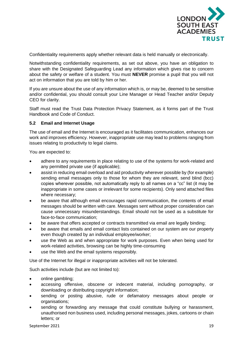

Confidentiality requirements apply whether relevant data is held manually or electronically.

Notwithstanding confidentiality requirements, as set out above, you have an obligation to share with the Designated Safeguarding Lead any information which gives rise to concern about the safety or welfare of a student. You must **NEVER** promise a pupil that you will not act on information that you are told by him or her.

If you are unsure about the use of any information which is, or may be, deemed to be sensitive and/or confidential, you should consult your Line Manager or Head Teacher and/or Deputy CEO for clarity.

Staff must read the Trust Data Protection Privacy Statement, as it forms part of the Trust Handbook and Code of Conduct.

#### **5.2 Email and Internet Usage**

The use of email and the Internet is encouraged as it facilitates communication, enhances our work and improves efficiency. However, inappropriate use may lead to problems ranging from issues relating to productivity to legal claims.

You are expected to:

- adhere to any requirements in place relating to use of the systems for work-related and any permitted private use (if applicable);
- assist in reducing email overload and aid productivity wherever possible by (for example) sending email messages only to those for whom they are relevant, send blind (bcc) copies wherever possible, not automatically reply to all names on a "cc" list (it may be inappropriate in some cases or irrelevant for some recipients). Only send attached files where necessary;
- be aware that although email encourages rapid communication, the contents of email messages should be written with care. Messages sent without proper consideration can cause unnecessary misunderstandings. Email should not be used as a substitute for face-to-face communication;
- be aware that offers accepted or contracts transmitted via email are legally binding;
- be aware that emails and email contact lists contained on our system are our property even though created by an individual employee/worker;
- use the Web as and when appropriate for work purposes. Even when being used for work-related activities, browsing can be highly time-consuming
- use the Web and the email systems responsibly.

Use of the Internet for illegal or inappropriate activities will not be tolerated.

Such activities include (but are not limited to):

- online gambling;
- accessing offensive, obscene or indecent material, including pornography, or downloading or distributing copyright information;
- sending or posting abusive, rude or defamatory messages about people or organisations;
- sending or forwarding any message that could constitute bullying or harassment, unauthorised non business used, including personal messages, jokes, cartoons or chain letters; or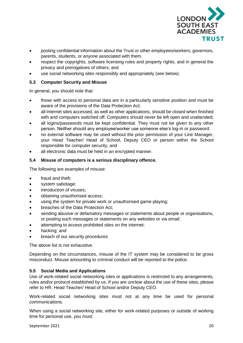

- posting confidential information about the Trust or other employees/workers, governors, parents, students, or anyone associated with them.
- respect the copyrights, software licensing rules and property rights, and in general the privacy and prerogatives of others; and
- use social networking sites responsibly and appropriately (see below).

#### **5.3 Computer Security and Misuse**

In general, you should note that:

- those with access to personal data are in a particularly sensitive position and must be aware of the provisions of the Data Protection Act;
- all Internet sites accessed, as well as other applications, should be closed when finished with and computers switched off. Computers should never be left open and unattended;
- all logins/passwords must be kept confidential. They must not be given to any other person. Neither should any employee/worker use someone else's log-in or password;
- no external software may be used without the prior permission of your Line Manager, your Head Teacher/ Head of School, Deputy CEO or person within the School responsible for computer security; and
- all electronic data must be held in an encrypted manner.

#### **5.4 Misuse of computers is a serious disciplinary offence.**

The following are examples of misuse:

- fraud and theft:
- system sabotage;
- introduction of viruses:
- obtaining unauthorised access;
- using the system for private work or unauthorised game playing;
- breaches of the Data Protection Act;
- sending abusive or defamatory messages or statements about people or organisations, or posting such messages or statements on any websites or via email;
- attempting to access prohibited sites on the internet;
- hacking; and
- breach of our security procedures

The above list is not exhaustive.

Depending on the circumstances, misuse of the IT system may be considered to be gross misconduct. Misuse amounting to criminal conduct will be reported to the police.

#### **5.5 Social Media and Applications**

Use of work-related social networking sites or applications is restricted to any arrangements, rules and/or protocol established by us. If you are unclear about the use of these sites, please refer to HR, Head Teacher/ Head of School and/or Deputy CEO.

Work-related social networking sites must not at any time be used for personal communications.

When using a social networking site, either for work-related purposes or outside of working time for personal use, you must: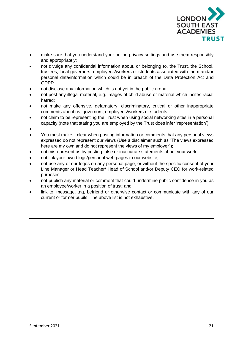

- make sure that you understand your online privacy settings and use them responsibly and appropriately;
- not divulge any confidential information about, or belonging to, the Trust, the School, trustees, local governors, employees/workers or students associated with them and/or personal data/information which could be in breach of the Data Protection Act and GDPR.
- not disclose any information which is not yet in the public arena;
- not post any illegal material, e.g. images of child abuse or material which incites racial hatred;
- not make any offensive, defamatory, discriminatory, critical or other inappropriate comments about us, governors, employees/workers or students;
- not claim to be representing the Trust when using social networking sites in a personal capacity (note that stating you are employed by the Trust does infer 'representation').
- •
- You must make it clear when posting information or comments that any personal views expressed do not represent our views (Use a disclaimer such as "The views expressed here are my own and do not represent the views of my employer");
- not misrepresent us by posting false or inaccurate statements about your work;
- not link your own blogs/personal web pages to our website;
- not use any of our logos on any personal page, or without the specific consent of your Line Manager or Head Teacher/ Head of School and/or Deputy CEO for work-related purposes;
- not publish any material or comment that could undermine public confidence in you as an employee/worker in a position of trust; and
- link to, message, tag, befriend or otherwise contact or communicate with any of our current or former pupils. The above list is not exhaustive.